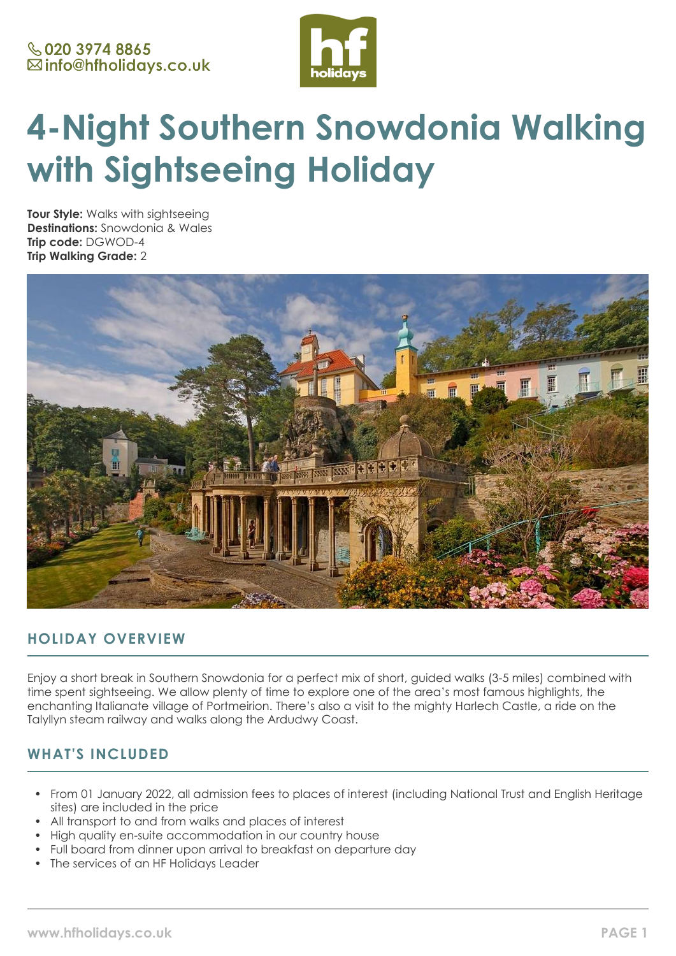

# **4-Night Southern Snowdonia Walking with Sightseeing Holiday**

**Tour Style:** Walks with sightseeing **Destinations:** Snowdonia & Wales **Trip code:** DGWOD-4 **Trip Walking Grade:** 2



# **HOLIDAY OVERVIEW**

Enjoy a short break in Southern Snowdonia for a perfect mix of short, guided walks (3-5 miles) combined with time spent sightseeing. We allow plenty of time to explore one of the area's most famous highlights, the enchanting Italianate village of Portmeirion. There's also a visit to the mighty Harlech Castle, a ride on the Talyllyn steam railway and walks along the Ardudwy Coast.

# **WHAT'S INCLUDED**

- From 01 January 2022, all admission fees to places of interest (including National Trust and English Heritage sites) are included in the price
- All transport to and from walks and places of interest
- High quality en-suite accommodation in our country house
- Full board from dinner upon arrival to breakfast on departure day
- The services of an HF Holidays Leader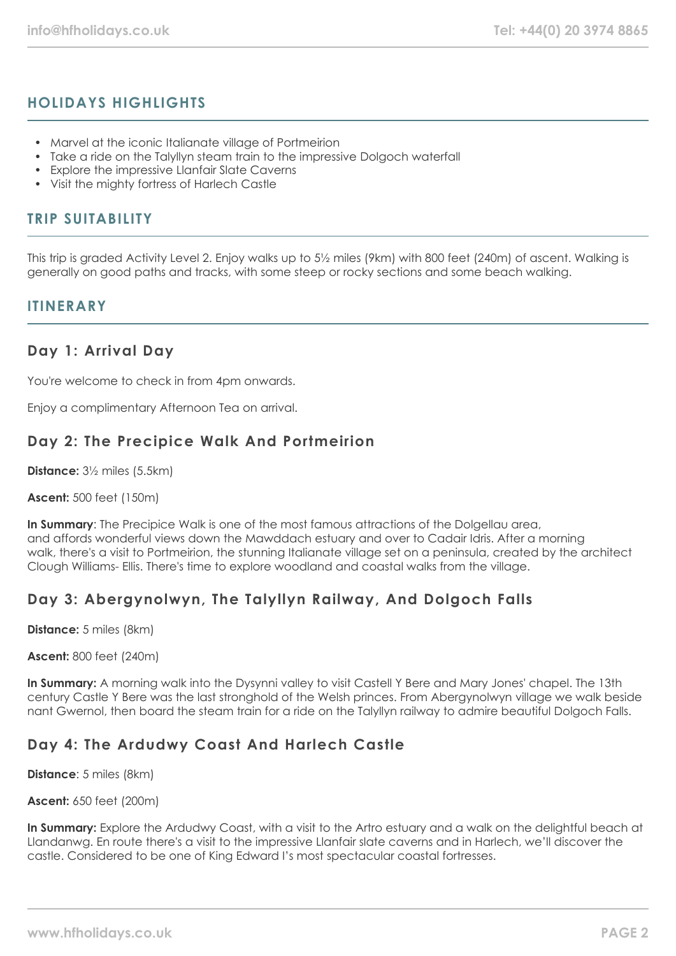# **HOLIDAYS HIGHLIGHTS**

- Marvel at the iconic Italianate village of Portmeirion
- Take a ride on the Talyllyn steam train to the impressive Dolgoch waterfall
- Explore the impressive Llanfair Slate Caverns
- Visit the mighty fortress of Harlech Castle

# **TRIP SUITABILITY**

This trip is graded Activity Level 2. Enjoy walks up to 5½ miles (9km) with 800 feet (240m) of ascent. Walking is generally on good paths and tracks, with some steep or rocky sections and some beach walking.

## **ITINFRARY**

## **Day 1: Arrival Day**

You're welcome to check in from 4pm onwards.

Enjoy a complimentary Afternoon Tea on arrival.

# **Day 2: The Precipice Walk And Portmeirion**

**Distance:** 3½ miles (5.5km)

**Ascent:** 500 feet (150m)

**In Summary**: The Precipice Walk is one of the most famous attractions of the Dolgellau area, and affords wonderful views down the Mawddach estuary and over to Cadair Idris. After a morning walk, there's a visit to Portmeirion, the stunning Italianate village set on a peninsula, created by the architect Clough Williams- Ellis. There's time to explore woodland and coastal walks from the village.

# **Day 3: Abergynolwyn, The Talyllyn Railway, And Dolgoch Falls**

**Distance:** 5 miles (8km)

**Ascent:** 800 feet (240m)

**In Summary:** A morning walk into the Dysynni valley to visit Castell Y Bere and Mary Jones' chapel. The 13th century Castle Y Bere was the last stronghold of the Welsh princes. From Abergynolwyn village we walk beside nant Gwernol, then board the steam train for a ride on the Talyllyn railway to admire beautiful Dolgoch Falls.

# **Day 4: The Ardudwy Coast And Harlech Castle**

**Distance**: 5 miles (8km)

## **Ascent:** 650 feet (200m)

**In Summary:** Explore the Ardudwy Coast, with a visit to the Artro estuary and a walk on the delightful beach at Llandanwg. En route there's a visit to the impressive Llanfair slate caverns and in Harlech, we'll discover the castle. Considered to be one of King Edward I's most spectacular coastal fortresses.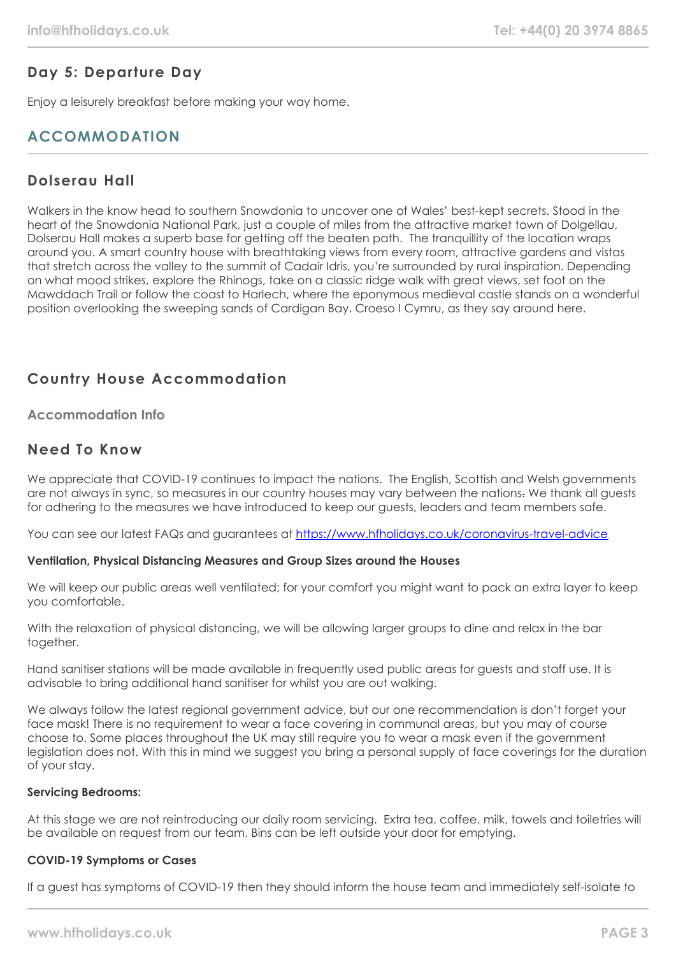# **Day 5: Departure Day**

Enjoy a leisurely breakfast before making your way home.

# **ACCOMMODATION**

# **Dolserau Hall**

Walkers in the know head to southern Snowdonia to uncover one of Wales' best-kept secrets. Stood in the heart of the Snowdonia National Park, just a couple of miles from the attractive market town of Dolgellau, Dolserau Hall makes a superb base for getting off the beaten path. The tranquillity of the location wraps around you. A smart country house with breathtaking views from every room, attractive gardens and vistas that stretch across the valley to the summit of Cadair Idris, you're surrounded by rural inspiration. Depending on what mood strikes, explore the Rhinogs, take on a classic ridge walk with great views, set foot on the Mawddach Trail or follow the coast to Harlech, where the eponymous medieval castle stands on a wonderful position overlooking the sweeping sands of Cardigan Bay. Croeso I Cymru, as they say around here.

# **Country House Accommodation**

## **Accommodation Info**

## **Need To Know**

We appreciate that COVID-19 continues to impact the nations. The English, Scottish and Welsh governments are not always in sync, so measures in our country houses may vary between the nations. We thank all quests for adhering to the measures we have introduced to keep our guests, leaders and team members safe.

You can see our latest FAQs and guarantees at <https://www.hfholidays.co.uk/coronavirus-travel-advice>

## **Ventilation, Physical Distancing Measures and Group Sizes around the Houses**

We will keep our public areas well ventilated; for your comfort you might want to pack an extra layer to keep you comfortable.

With the relaxation of physical distancing, we will be allowing larger groups to dine and relax in the bar together.

Hand sanitiser stations will be made available in frequently used public areas for guests and staff use. It is advisable to bring additional hand sanitiser for whilst you are out walking.

We always follow the latest regional government advice, but our one recommendation is don't forget your face mask! There is no requirement to wear a face covering in communal areas, but you may of course choose to. Some places throughout the UK may still require you to wear a mask even if the government legislation does not. With this in mind we suggest you bring a personal supply of face coverings for the duration of your stay.

### **Servicing Bedrooms:**

At this stage we are not reintroducing our daily room servicing. Extra tea, coffee, milk, towels and toiletries will be available on request from our team. Bins can be left outside your door for emptying.

## **COVID-19 Symptoms or Cases**

If a guest has symptoms of COVID-19 then they should inform the house team and immediately self-isolate to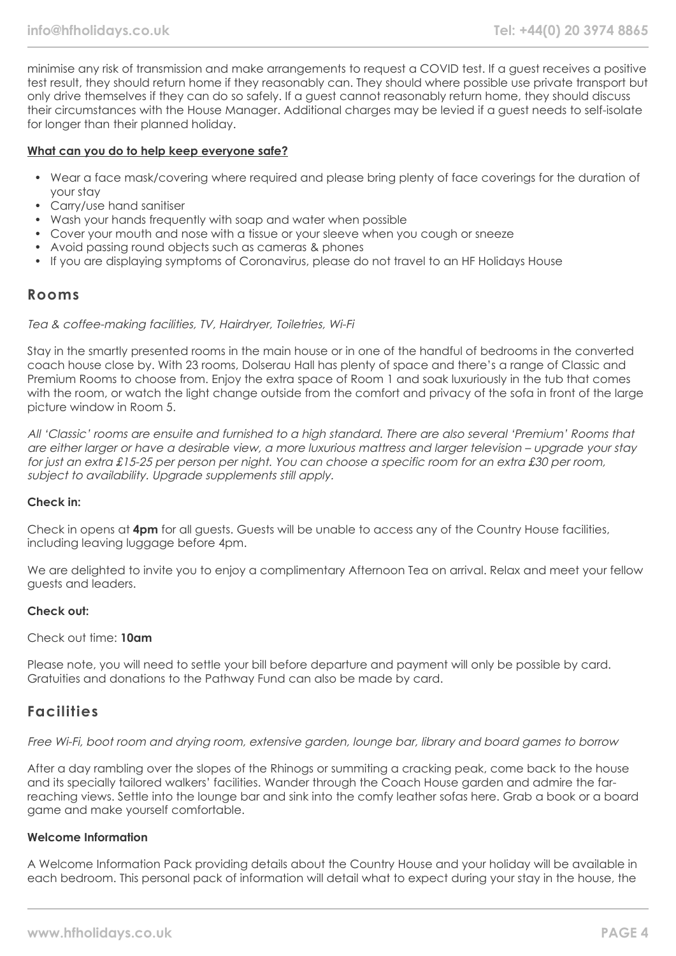minimise any risk of transmission and make arrangements to request a COVID test. If a guest receives a positive test result, they should return home if they reasonably can. They should where possible use private transport but only drive themselves if they can do so safely. If a guest cannot reasonably return home, they should discuss their circumstances with the House Manager. Additional charges may be levied if a guest needs to self-isolate for longer than their planned holiday.

#### **What can you do to help keep everyone safe?**

- Wear a face mask/covering where required and please bring plenty of face coverings for the duration of your stay
- Carry/use hand sanitiser
- Wash your hands frequently with soap and water when possible
- Cover your mouth and nose with a tissue or your sleeve when you cough or sneeze
- Avoid passing round objects such as cameras & phones
- If you are displaying symptoms of Coronavirus, please do not travel to an HF Holidays House

## **Rooms**

### Tea & coffee-making facilities, TV, Hairdryer, Toiletries, Wi-Fi

Stay in the smartly presented rooms in the main house or in one of the handful of bedrooms in the converted coach house close by. With 23 rooms, Dolserau Hall has plenty of space and there's a range of Classic and Premium Rooms to choose from. Enjoy the extra space of Room 1 and soak luxuriously in the tub that comes with the room, or watch the light change outside from the comfort and privacy of the sofa in front of the large picture window in Room 5.

All 'Classic' rooms are ensuite and furnished to a high standard. There are also several 'Premium' Rooms that are either larger or have a desirable view, a more luxurious mattress and larger television – upgrade your stay for just an extra £15-25 per person per night. You can choose a specific room for an extra £30 per room, subject to availability. Upgrade supplements still apply.

## **Check in:**

Check in opens at **4pm** for all guests. Guests will be unable to access any of the Country House facilities, including leaving luggage before 4pm.

We are delighted to invite you to enjoy a complimentary Afternoon Tea on arrival. Relax and meet your fellow guests and leaders.

### **Check out:**

#### Check out time: **10am**

Please note, you will need to settle your bill before departure and payment will only be possible by card. Gratuities and donations to the Pathway Fund can also be made by card.

## **Facilities**

Free Wi-Fi, boot room and drying room, extensive garden, lounge bar, library and board games to borrow

After a day rambling over the slopes of the Rhinogs or summiting a cracking peak, come back to the house and its specially tailored walkers' facilities. Wander through the Coach House garden and admire the farreaching views. Settle into the lounge bar and sink into the comfy leather sofas here. Grab a book or a board game and make yourself comfortable.

### **Welcome Information**

A Welcome Information Pack providing details about the Country House and your holiday will be available in each bedroom. This personal pack of information will detail what to expect during your stay in the house, the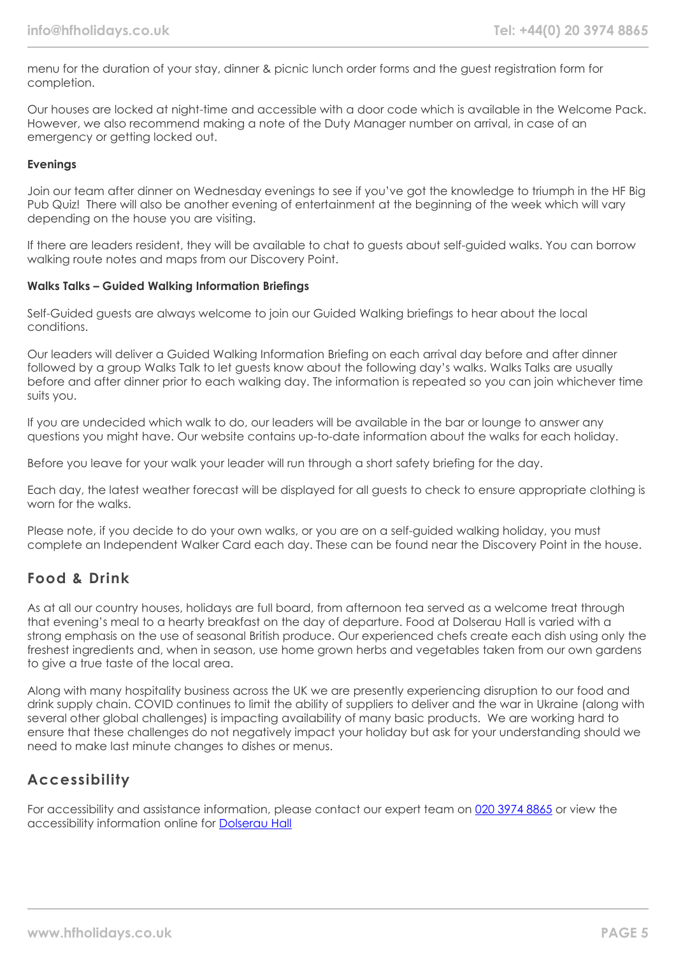menu for the duration of your stay, dinner & picnic lunch order forms and the guest registration form for completion.

Our houses are locked at night-time and accessible with a door code which is available in the Welcome Pack. However, we also recommend making a note of the Duty Manager number on arrival, in case of an emergency or getting locked out.

## **Evenings**

Join our team after dinner on Wednesday evenings to see if you've got the knowledge to triumph in the HF Big Pub Quiz! There will also be another evening of entertainment at the beginning of the week which will vary depending on the house you are visiting.

If there are leaders resident, they will be available to chat to guests about self-guided walks. You can borrow walking route notes and maps from our Discovery Point.

### **Walks Talks – Guided Walking Information Briefings**

Self-Guided guests are always welcome to join our Guided Walking briefings to hear about the local conditions.

Our leaders will deliver a Guided Walking Information Briefing on each arrival day before and after dinner followed by a group Walks Talk to let guests know about the following day's walks. Walks Talks are usually before and after dinner prior to each walking day. The information is repeated so you can join whichever time suits you.

If you are undecided which walk to do, our leaders will be available in the bar or lounge to answer any questions you might have. Our website contains up-to-date information about the walks for each holiday.

Before you leave for your walk your leader will run through a short safety briefing for the day.

Each day, the latest weather forecast will be displayed for all guests to check to ensure appropriate clothing is worn for the walks.

Please note, if you decide to do your own walks, or you are on a self-guided walking holiday, you must complete an Independent Walker Card each day. These can be found near the Discovery Point in the house.

## **Food & Drink**

As at all our country houses, holidays are full board, from afternoon tea served as a welcome treat through that evening's meal to a hearty breakfast on the day of departure. Food at Dolserau Hall is varied with a strong emphasis on the use of seasonal British produce. Our experienced chefs create each dish using only the freshest ingredients and, when in season, use home grown herbs and vegetables taken from our own gardens to give a true taste of the local area.

Along with many hospitality business across the UK we are presently experiencing disruption to our food and drink supply chain. COVID continues to limit the ability of suppliers to deliver and the war in Ukraine (along with several other global challenges) is impacting availability of many basic products. We are working hard to ensure that these challenges do not negatively impact your holiday but ask for your understanding should we need to make last minute changes to dishes or menus.

# **Accessibility**

For accessibility and assistance information, please contact our expert team on [020 3974 8865](tel:02039748865) or view the accessibility information online for [Dolserau Hall](https://www.hfholidays.co.uk/images/Documents/accessibility_statements/dolserau-hall---accessibility-information---update-mar-2021.pdf)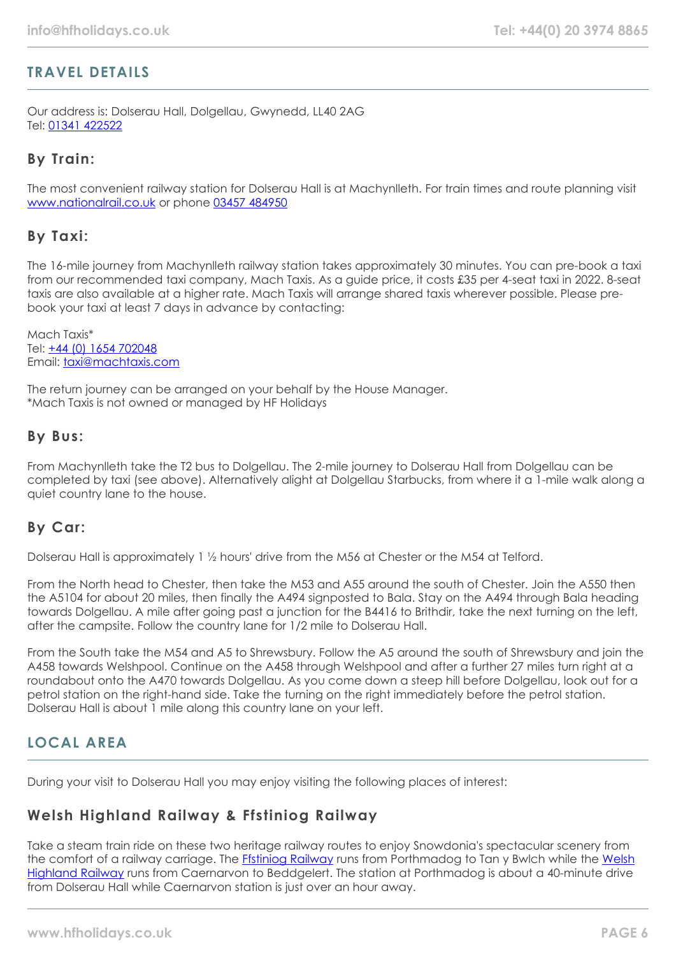# **TRAVEL DETAILS**

Our address is: Dolserau Hall, Dolgellau, Gwynedd, LL40 2AG Tel: [01341 422522](tel:01341422522)

## **By Train:**

The most convenient railway station for Dolserau Hall is at Machynlleth. For train times and route planning visit [www.nationalrail.co.uk](http://www.nationalrail.co.uk/) or phone [03457 484950](tel:03457 484950)

## **By Taxi:**

The 16-mile journey from Machynlleth railway station takes approximately 30 minutes. You can pre-book a taxi from our recommended taxi company, Mach Taxis. As a guide price, it costs £35 per 4-seat taxi in 2022. 8-seat taxis are also available at a higher rate. Mach Taxis will arrange shared taxis wherever possible. Please prebook your taxi at least 7 days in advance by contacting:

Mach Taxis\* Tel: [+44 \(0\) 1654 702048](tel:01654702048) Email: [taxi@machtaxis.com](mailto:taxi@machtaxis.com)

The return journey can be arranged on your behalf by the House Manager. \*Mach Taxis is not owned or managed by HF Holidays

## **By Bus:**

From Machynlleth take the T2 bus to Dolgellau. The 2-mile journey to Dolserau Hall from Dolgellau can be completed by taxi (see above). Alternatively alight at Dolgellau Starbucks, from where it a 1-mile walk along a quiet country lane to the house.

## **By Car:**

Dolserau Hall is approximately 1 1/<sub>2</sub> hours' drive from the M56 at Chester or the M54 at Telford.

From the North head to Chester, then take the M53 and A55 around the south of Chester. Join the A550 then the A5104 for about 20 miles, then finally the A494 signposted to Bala. Stay on the A494 through Bala heading towards Dolgellau. A mile after going past a junction for the B4416 to Brithdir, take the next turning on the left, after the campsite. Follow the country lane for 1/2 mile to Dolserau Hall.

From the South take the M54 and A5 to Shrewsbury. Follow the A5 around the south of Shrewsbury and join the A458 towards Welshpool. Continue on the A458 through Welshpool and after a further 27 miles turn right at a roundabout onto the A470 towards Dolgellau. As you come down a steep hill before Dolgellau, look out for a petrol station on the right-hand side. Take the turning on the right immediately before the petrol station. Dolserau Hall is about 1 mile along this country lane on your left.

# **LOCAL AREA**

During your visit to Dolserau Hall you may enjoy visiting the following places of interest:

## **Welsh Highland Railway & Ffstiniog Railway**

Take a steam train ride on these two heritage railway routes to enjoy Snowdonia's spectacular scenery from the comfort of a railway carriage. The **[Ffstiniog Railway](https://www.festrail.co.uk/news_and_events_item/trains-running-from-july-20th/)** runs from Porthmadog to Tan y Bwlch while the [Welsh](https://www.festrail.co.uk/news_and_events_item/welsh-highland-railway-services-recommence-august-18th/) [Highland Railway](https://www.festrail.co.uk/news_and_events_item/welsh-highland-railway-services-recommence-august-18th/) runs from Caernarvon to Beddgelert. The station at Porthmadog is about a 40-minute drive from Dolserau Hall while Caernarvon station is just over an hour away.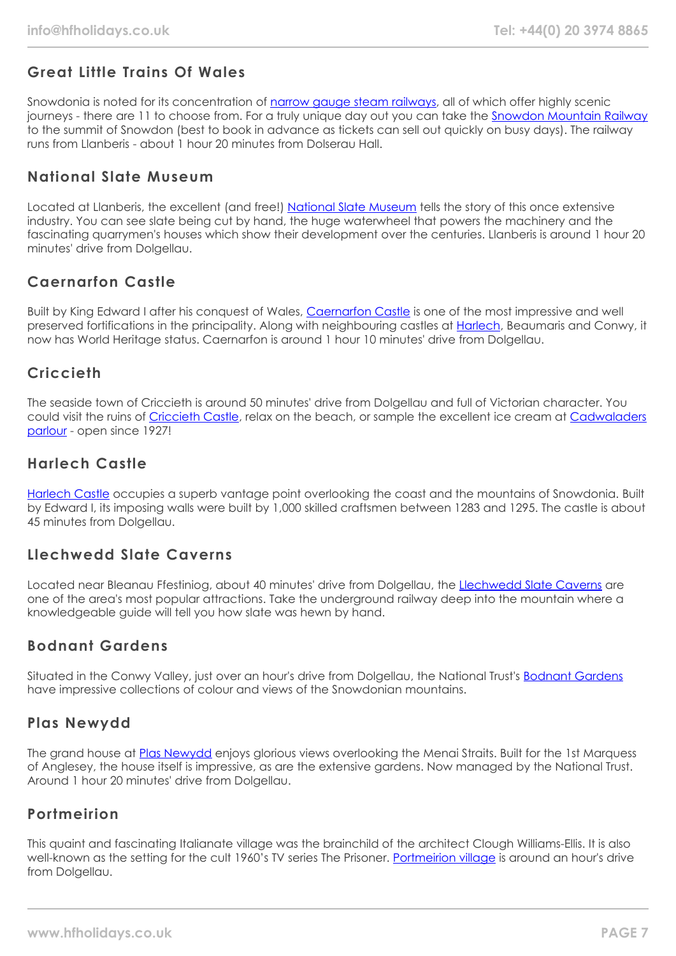# **Great Little Trains Of Wales**

Snowdonia is noted for its concentration of [narrow gauge steam railways](https://www.greatlittletrainsofwales.co.uk/), all of which offer highly scenic journeys - there are 11 to choose from. For a truly unique day out you can take the [Snowdon Mountain Railway](https://www.greatlittletrainsofwales.co.uk/en/railways/snowdon-mountain) to the summit of Snowdon (best to book in advance as tickets can sell out quickly on busy days). The railway runs from Llanberis - about 1 hour 20 minutes from Dolserau Hall.

# **National Slate Museum**

Located at Llanberis, the excellent (and free!) [National Slate Museum](https://museum.wales/slate/) tells the story of this once extensive industry. You can see slate being cut by hand, the huge waterwheel that powers the machinery and the fascinating quarrymen's houses which show their development over the centuries. Llanberis is around 1 hour 20 minutes' drive from Dolgellau.

# **Caernarfon Castle**

Built by King Edward I after his conquest of Wales, [Caernarfon Castle](https://cadw.gov.wales/visit/places-to-visit/caernarfon-castle) is one of the most impressive and well preserved fortifications in the principality. Along with neighbouring castles at [Harlech,](https://cadw.gov.wales/visit/places-to-visit/harlech-castle) Beaumaris and Conwy, it now has World Heritage status. Caernarfon is around 1 hour 10 minutes' drive from Dolgellau.

# **Criccieth**

The seaside town of Criccieth is around 50 minutes' drive from Dolgellau and full of Victorian character. You could visit the ruins of [Criccieth Castle,](https://cadw.gov.wales/visit/places-to-visit/criccieth-castle) relax on the beach, or sample the excellent ice cream at [Cadwaladers](https://cadwaladers.co.uk/) [parlour](https://cadwaladers.co.uk/) - open since 1927!

# **Harlech Castle**

[Harlech Castle](https://cadw.gov.wales/visit/places-to-visit/harlech-castle) occupies a superb vantage point overlooking the coast and the mountains of Snowdonia. Built by Edward I, its imposing walls were built by 1,000 skilled craftsmen between 1283 and 1295. The castle is about 45 minutes from Dolgellau.

# **Llechwedd Slate Caverns**

Located near Bleanau Ffestiniog, about 40 minutes' drive from Dolgellau, the [Llechwedd Slate Caverns](https://llechwedd.co.uk/) are one of the area's most popular attractions. Take the underground railway deep into the mountain where a knowledgeable guide will tell you how slate was hewn by hand.

# **Bodnant Gardens**

Situated in the Conwy Valley, just over an hour's drive from Dolgellau, the National Trust's [Bodnant Gardens](https://www.nationaltrust.org.uk/bodnant-garden) have impressive collections of colour and views of the Snowdonian mountains.

# **Plas Newydd**

The grand house at [Plas Newydd](https://www.nationaltrust.org.uk/plas-newydd-house-and-garden) enjoys glorious views overlooking the Menai Straits. Built for the 1st Marquess of Anglesey, the house itself is impressive, as are the extensive gardens. Now managed by the National Trust. Around 1 hour 20 minutes' drive from Dolgellau.

# **Portmeirion**

This quaint and fascinating Italianate village was the brainchild of the architect Clough Williams-Ellis. It is also well-known as the setting for the cult 1960's TV series The Prisoner. [Portmeirion village](https://portmeirion.wales/) is around an hour's drive from Dolgellau.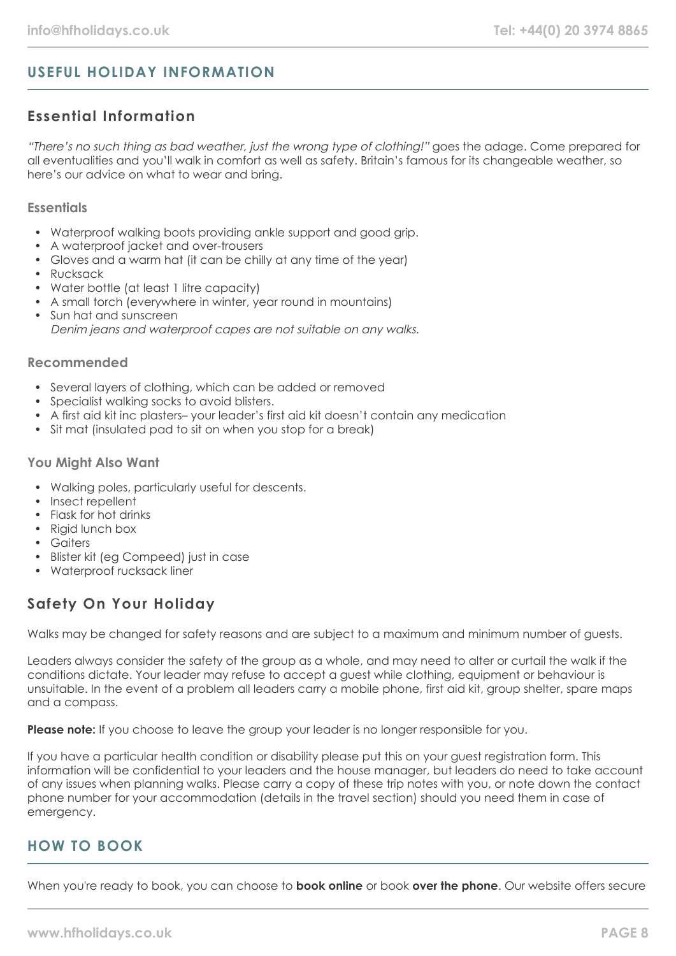# **USEFUL HOLIDAY INFORMATION**

# **Essential Information**

"There's no such thing as bad weather, just the wrong type of clothing!" goes the adage. Come prepared for all eventualities and you'll walk in comfort as well as safety. Britain's famous for its changeable weather, so here's our advice on what to wear and bring.

## **Essentials**

- Waterproof walking boots providing ankle support and good grip.
- A waterproof jacket and over-trousers
- Gloves and a warm hat (it can be chilly at any time of the year)
- Rucksack
- Water bottle (at least 1 litre capacity)
- A small torch (everywhere in winter, year round in mountains)
- Sun hat and sunscreen Denim jeans and waterproof capes are not suitable on any walks.

## **Recommended**

- Several layers of clothing, which can be added or removed
- Specialist walking socks to avoid blisters.
- A first aid kit inc plasters– your leader's first aid kit doesn't contain any medication
- Sit mat (insulated pad to sit on when you stop for a break)

## **You Might Also Want**

- Walking poles, particularly useful for descents.
- Insect repellent
- Flask for hot drinks
- Rigid lunch box
- Gaiters
- Blister kit (eg Compeed) just in case
- Waterproof rucksack liner

# **Safety On Your Holiday**

Walks may be changed for safety reasons and are subject to a maximum and minimum number of guests.

Leaders always consider the safety of the group as a whole, and may need to alter or curtail the walk if the conditions dictate. Your leader may refuse to accept a guest while clothing, equipment or behaviour is unsuitable. In the event of a problem all leaders carry a mobile phone, first aid kit, group shelter, spare maps and a compass.

**Please note:** If you choose to leave the group your leader is no longer responsible for you.

If you have a particular health condition or disability please put this on your guest registration form. This information will be confidential to your leaders and the house manager, but leaders do need to take account of any issues when planning walks. Please carry a copy of these trip notes with you, or note down the contact phone number for your accommodation (details in the travel section) should you need them in case of emergency.

# **HOW TO BOOK**

When you're ready to book, you can choose to **book online** or book **over the phone**. Our website offers secure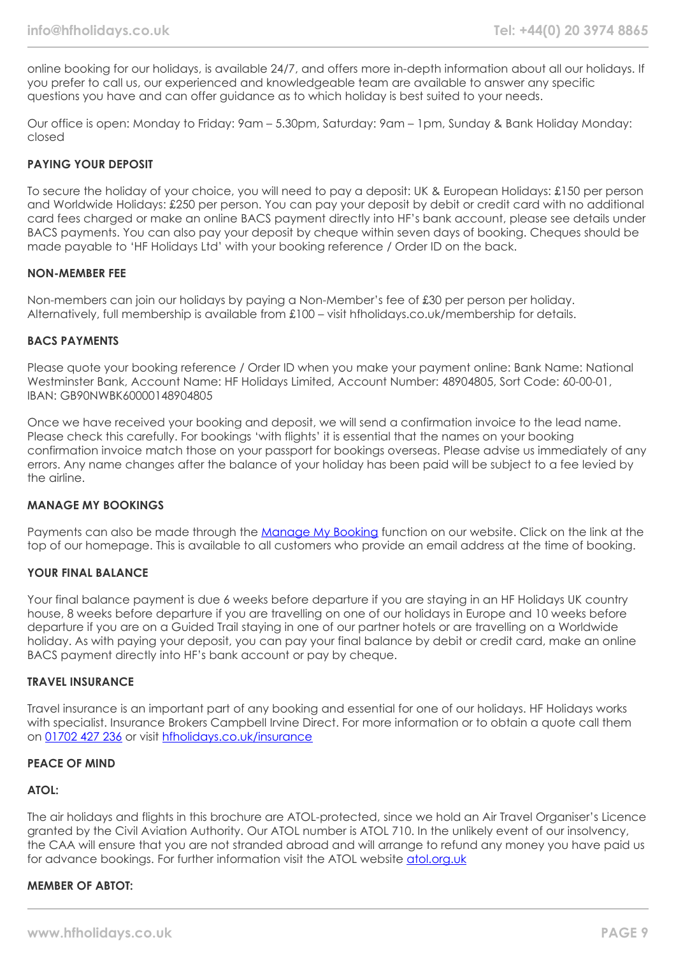online booking for our holidays, is available 24/7, and offers more in-depth information about all our holidays. If you prefer to call us, our experienced and knowledgeable team are available to answer any specific questions you have and can offer guidance as to which holiday is best suited to your needs.

Our office is open: Monday to Friday: 9am – 5.30pm, Saturday: 9am – 1pm, Sunday & Bank Holiday Monday: closed

## **PAYING YOUR DEPOSIT**

To secure the holiday of your choice, you will need to pay a deposit: UK & European Holidays: £150 per person and Worldwide Holidays: £250 per person. You can pay your deposit by debit or credit card with no additional card fees charged or make an online BACS payment directly into HF's bank account, please see details under BACS payments. You can also pay your deposit by cheque within seven days of booking. Cheques should be made payable to 'HF Holidays Ltd' with your booking reference / Order ID on the back.

### **NON-MEMBER FEE**

Non-members can join our holidays by paying a Non-Member's fee of £30 per person per holiday. Alternatively, full membership is available from £100 – visit hfholidays.co.uk/membership for details.

### **BACS PAYMENTS**

Please quote your booking reference / Order ID when you make your payment online: Bank Name: National Westminster Bank, Account Name: HF Holidays Limited, Account Number: 48904805, Sort Code: 60-00-01, IBAN: GB90NWBK60000148904805

Once we have received your booking and deposit, we will send a confirmation invoice to the lead name. Please check this carefully. For bookings 'with flights' it is essential that the names on your booking confirmation invoice match those on your passport for bookings overseas. Please advise us immediately of any errors. Any name changes after the balance of your holiday has been paid will be subject to a fee levied by the airline.

## **MANAGE MY BOOKINGS**

Payments can also be made through the [Manage My Booking](https://www.hfholidays.co.uk/about-us/bookings/my-booking) function on our website. Click on the link at the top of our homepage. This is available to all customers who provide an email address at the time of booking.

### **YOUR FINAL BALANCE**

Your final balance payment is due 6 weeks before departure if you are staying in an HF Holidays UK country house, 8 weeks before departure if you are travelling on one of our holidays in Europe and 10 weeks before departure if you are on a Guided Trail staying in one of our partner hotels or are travelling on a Worldwide holiday. As with paying your deposit, you can pay your final balance by debit or credit card, make an online BACS payment directly into HF's bank account or pay by cheque.

#### **TRAVEL INSURANCE**

Travel insurance is an important part of any booking and essential for one of our holidays. HF Holidays works with specialist. Insurance Brokers Campbell Irvine Direct. For more information or to obtain a quote call them on [01702 427 236](tel:01702427236) or visit [hfholidays.co.uk/insurance](https://www.hfholidays.co.uk/about-us/bookings/insurance)

## **PEACE OF MIND**

## **ATOL:**

The air holidays and flights in this brochure are ATOL-protected, since we hold an Air Travel Organiser's Licence granted by the Civil Aviation Authority. Our ATOL number is ATOL 710. In the unlikely event of our insolvency, the CAA will ensure that you are not stranded abroad and will arrange to refund any money you have paid us for advance bookings. For further information visit the ATOL website [atol.org.uk](https://www.atol.org/)

### **MEMBER OF ABTOT:**